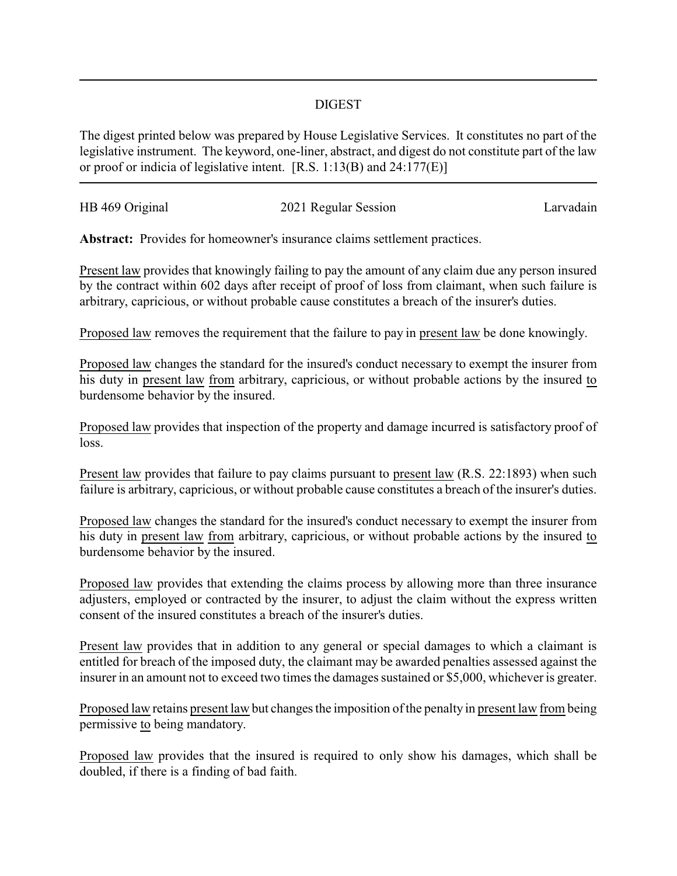## DIGEST

The digest printed below was prepared by House Legislative Services. It constitutes no part of the legislative instrument. The keyword, one-liner, abstract, and digest do not constitute part of the law or proof or indicia of legislative intent. [R.S. 1:13(B) and 24:177(E)]

| HB 469 Original | 2021 Regular Session | Larvadain |
|-----------------|----------------------|-----------|
|                 |                      |           |

**Abstract:** Provides for homeowner's insurance claims settlement practices.

Present law provides that knowingly failing to pay the amount of any claim due any person insured by the contract within 602 days after receipt of proof of loss from claimant, when such failure is arbitrary, capricious, or without probable cause constitutes a breach of the insurer's duties.

Proposed law removes the requirement that the failure to pay in present law be done knowingly.

Proposed law changes the standard for the insured's conduct necessary to exempt the insurer from his duty in present law from arbitrary, capricious, or without probable actions by the insured to burdensome behavior by the insured.

Proposed law provides that inspection of the property and damage incurred is satisfactory proof of loss.

Present law provides that failure to pay claims pursuant to present law (R.S. 22:1893) when such failure is arbitrary, capricious, or without probable cause constitutes a breach of the insurer's duties.

Proposed law changes the standard for the insured's conduct necessary to exempt the insurer from his duty in present law from arbitrary, capricious, or without probable actions by the insured to burdensome behavior by the insured.

Proposed law provides that extending the claims process by allowing more than three insurance adjusters, employed or contracted by the insurer, to adjust the claim without the express written consent of the insured constitutes a breach of the insurer's duties.

Present law provides that in addition to any general or special damages to which a claimant is entitled for breach of the imposed duty, the claimant may be awarded penalties assessed against the insurer in an amount not to exceed two times the damages sustained or \$5,000, whichever is greater.

Proposed law retains present law but changes the imposition of the penalty in present law from being permissive to being mandatory.

Proposed law provides that the insured is required to only show his damages, which shall be doubled, if there is a finding of bad faith.